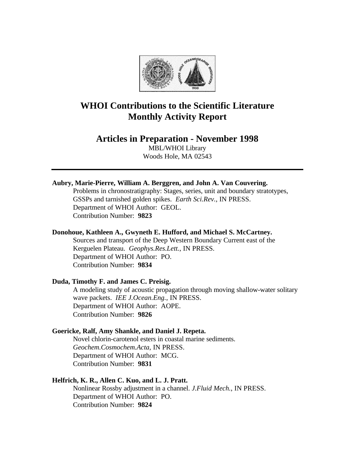

# **WHOI Contributions to the Scientific Literature Monthly Activity Report**

# **Articles in Preparation - November 1998**

MBL/WHOI Library Woods Hole, MA 02543

# **Aubry, Marie-Pierre, William A. Berggren, and John A. Van Couvering.**

Problems in chronostratigraphy: Stages, series, unit and boundary stratotypes, GSSPs and tarnished golden spikes. *Earth Sci.Rev.*, IN PRESS. Department of WHOI Author: GEOL. Contribution Number: **9823**

#### **Donohoue, Kathleen A., Gwyneth E. Hufford, and Michael S. McCartney.**

Sources and transport of the Deep Western Boundary Current east of the Kerguelen Plateau. *Geophys.Res.Lett.*, IN PRESS. Department of WHOI Author: PO. Contribution Number: **9834**

### **Duda, Timothy F. and James C. Preisig.**

A modeling study of acoustic propagation through moving shallow-water solitary wave packets. *IEE J.Ocean.Eng.*, IN PRESS. Department of WHOI Author: AOPE. Contribution Number: **9826**

#### **Goericke, Ralf, Amy Shankle, and Daniel J. Repeta.**

Novel chlorin-carotenol esters in coastal marine sediments. *Geochem.Cosmochem.Acta*, IN PRESS. Department of WHOI Author: MCG. Contribution Number: **9831**

# **Helfrich, K. R., Allen C. Kuo, and L. J. Pratt.**

Nonlinear Rossby adjustment in a channel. *J.Fluid Mech.*, IN PRESS. Department of WHOI Author: PO. Contribution Number: **9824**